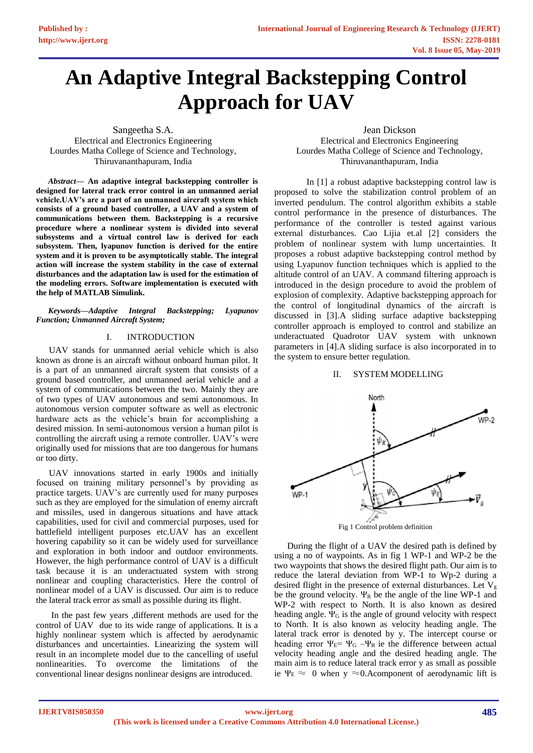# **An Adaptive Integral Backstepping Control Approach for UAV**

Sangeetha S.A. Electrical and Electronics Engineering Lourdes Matha College of Science and Technology, Thiruvananthapuram, India

*Abstract***— An adaptive integral backstepping controller is designed for lateral track error control in an unmanned aerial vehicle.UAV's are a part of an unmanned aircraft system which consists of a ground based controller, a UAV and a system of communications between them. Backstepping is a recursive procedure where a nonlinear system is divided into several subsystems and a virtual control law is derived for each subsystem. Then, lyapunov function is derived for the entire system and it is proven to be asymptotically stable. The integral action will increase the system stability in the case of external disturbances and the adaptation law is used for the estimation of the modeling errors. Software implementation is executed with the help of MATLAB Simulink.**

*Keywords—Adaptive Integral Backstepping; Lyapunov Function; Unmanned Aircraft System;*

# I. INTRODUCTION

UAV stands for unmanned aerial vehicle which is also known as drone is an aircraft without onboard human pilot. It is a part of an unmanned aircraft system that consists of a ground based controller, and unmanned aerial vehicle and a system of communications between the two. Mainly they are of two types of UAV autonomous and semi autonomous. In autonomous version computer software as well as electronic hardware acts as the vehicle's brain for accomplishing a desired mission. In semi-autonomous version a human pilot is controlling the aircraft using a remote controller. UAV's were originally used for missions that are too dangerous for humans or too dirty.

UAV innovations started in early 1900s and initially focused on training military personnel's by providing as practice targets. UAV's are currently used for many purposes such as they are employed for the simulation of enemy aircraft and missiles, used in dangerous situations and have attack capabilities, used for civil and commercial purposes, used for battlefield intelligent purposes etc.UAV has an excellent hovering capability so it can be widely used for surveillance and exploration in both indoor and outdoor environments. However, the high performance control of UAV is a difficult task because it is an underactuated system with strong nonlinear and coupling characteristics. Here the control of nonlinear model of a UAV is discussed. Our aim is to reduce the lateral track error as small as possible during its flight.

In the past few years ,different methods are used for the control of UAV due to its wide range of applications. It is a highly nonlinear system which is affected by aerodynamic disturbances and uncertainties. Linearizing the system will result in an incomplete model due to the cancelling of useful nonlinearities. To overcome the limitations of the conventional linear designs nonlinear designs are introduced.

Jean Dickson

Electrical and Electronics Engineering Lourdes Matha College of Science and Technology, Thiruvananthapuram, India

In [1] a robust adaptive backstepping control law is proposed to solve the stabilization control problem of an inverted pendulum. The control algorithm exhibits a stable control performance in the presence of disturbances. The performance of the controller is tested against various external disturbances. Cao Lijia et.al [2] considers the problem of nonlinear system with lump uncertainties. It proposes a robust adaptive backstepping control method by using Lyapunov function techniques which is applied to the altitude control of an UAV. A command filtering approach is introduced in the design procedure to avoid the problem of explosion of complexity. Adaptive backstepping approach for the control of longitudinal dynamics of the aircraft is discussed in [3].A sliding surface adaptive backstepping controller approach is employed to control and stabilize an underactuated Quadrotor UAV system with unknown parameters in [4].A sliding surface is also incorporated in to the system to ensure better regulation.

# II. SYSTEM MODELLING



Fig 1 Control problem definition

During the flight of a UAV the desired path is defined by using a no of waypoints. As in fig 1 WP-1 and WP-2 be the two waypoints that shows the desired flight path. Our aim is to reduce the lateral deviation from WP-1 to Wp-2 during a desired flight in the presence of external disturbances. Let  $V_{\varphi}$ be the ground velocity.  $\Psi_R$  be the angle of the line WP-1 and WP-2 with respect to North. It is also known as desired heading angle.  $\Psi_G$  is the angle of ground velocity with respect to North. It is also known as velocity heading angle. The lateral track error is denoted by y. The intercept course or heading error  $\Psi_E = \Psi_G - \Psi_R$  ie the difference between actual velocity heading angle and the desired heading angle. The main aim is to reduce lateral track error y as small as possible ie Ψ $E \approx 0$  when y ≈0.Acomponent of aerodynamic lift is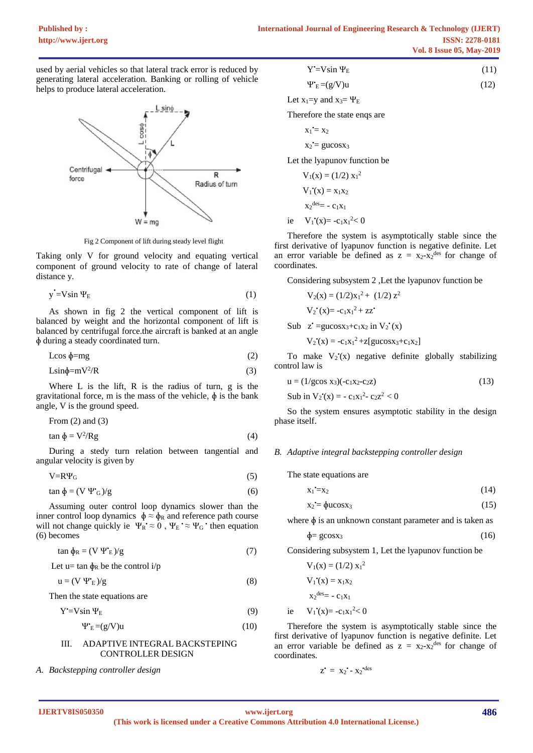used by aerial vehicles so that lateral track error is reduced by generating lateral acceleration. Banking or rolling of vehicle helps to produce lateral acceleration.



Fig 2 Component of lift during steady level flight

Taking only V for ground velocity and equating vertical component of ground velocity to rate of change of lateral distance y.

$$
y = V \sin \Psi_E \tag{1}
$$

As shown in fig 2 the vertical component of lift is balanced by weight and the horizontal component of lift is balanced by centrifugal force.the aircraft is banked at an angle ɸ during a steady coordinated turn.

$$
L\cos\phi = mg\tag{2}
$$

$$
L\sin\phi = mV^2/R\tag{3}
$$

Where  $L$  is the lift,  $R$  is the radius of turn,  $g$  is the gravitational force, m is the mass of the vehicle,  $\phi$  is the bank angle, V is the ground speed.

From (2) and (3) 
$$
\lim_{x \to 0} \frac{1}{x} \cdot \frac{V^2}{V^2} \tag{4}
$$

$$
\tan \phi = V^2 / Rg \tag{4}
$$

During a stedy turn relation between tangential and angular velocity is given by

$$
V = R\Psi_G \tag{5}
$$

$$
\tan \phi = (V \Psi^*_{\mathbf{G}}) / g \tag{6}
$$

Assuming outer control loop dynamics slower than the inner control loop dynamics  $\phi \approx \phi_R$  and reference path course will not change quickly ie  $\Psi_R \approx 0$ ,  $\Psi_E \approx \Psi_G$  then equation (6) becomes

 $\tan \phi_R = (V \Psi^*E)/g$  (7)

Let u= tan  $\phi_R$  be the control i/p

$$
u = (V \Psi_{E})/g \tag{8}
$$

Then the state equations are

$$
Y = V \sin \Psi_E \tag{9}
$$

$$
\Psi_{\mathcal{E}}^{\bullet} = (g/V)u\tag{10}
$$

# III. ADAPTIVE INTEGRAL BACKSTEPING CONTROLLER DESIGN

# *A. Backstepping controller design*

| $Y = V \sin \Psi_E$ |  | (11) |
|---------------------|--|------|
|---------------------|--|------|

$$
\Psi_{E} = (g/V)u \tag{12}
$$

Let  $x_1=y$  and  $x_3=y_E$ 

Therefore the state enqs are

$$
\mathbf{x}_1 = \mathbf{x}_2
$$

 $x_2 = gucos x_3$ 

Let the lyapunov function be

$$
V_1(x) = (1/2) x_1^2
$$
  
\n
$$
V_1^*(x) = x_1x_2
$$
  
\n
$$
x_2^{des} = -c_1x_1
$$
  
\ni.e. 
$$
V_1^*(x) = c_1x_2^2 < 0
$$

ie  $V_1'(x) = -c_1x_1^2 < 0$ 

Therefore the system is asymptotically stable since the first derivative of lyapunov function is negative definite. Let an error variable be defined as  $z = x_2-x_2^{des}$  for change of coordinates.

Considering subsystem 2 ,Let the lyapunov function be

$$
V_2(x) = (1/2)x_1^2 + (1/2) z^2
$$
  
\n
$$
V_2^*(x) = -c_1x_1^2 + zz^2
$$
  
\nSub  $z^* = \text{gucos}x_3 + c_1x_2$  in  $V_2^*(x)$   
\n
$$
V_2^*(x) = -c_1x_1^2 + z[\text{gucos}x_3 + c_1x_2]
$$

To make  $V_2(x)$  negative definite globally stabilizing control law is

$$
u = (1/g\cos x_3)(-c_1x_2-c_2z)
$$
 (13)

Sub in  $V_2(x) = -c_1x_1^2 - c_2z^2 < 0$ 

So the system ensures asymptotic stability in the design phase itself.

### *B. Adaptive integral backstepping controller design*

The state equations are

$$
x_1 = x_2 \tag{14}
$$

$$
x_2 = \phi u \cos x_3 \tag{15}
$$

where  $\phi$  is an unknown constant parameter and is taken as

$$
\Phi = \text{gcosx}_3 \tag{16}
$$

Considering subsystem 1, Let the lyapunov function be

$$
V_1(x) = (1/2) x_1^2
$$
  
\n
$$
V_1'(x) = x_1x_2
$$
  
\n
$$
x_2^{des} = -c_1x_1
$$
  
\ni.e 
$$
V_1'(x) = -c_1x_1^2 < 0
$$

Therefore the system is asymptotically stable since the first derivative of lyapunov function is negative definite. Let an error variable be defined as  $z = x_2-x_2^{des}$  for change of coordinates.

$$
z' = x_2' - x_2'^{des}
$$

ie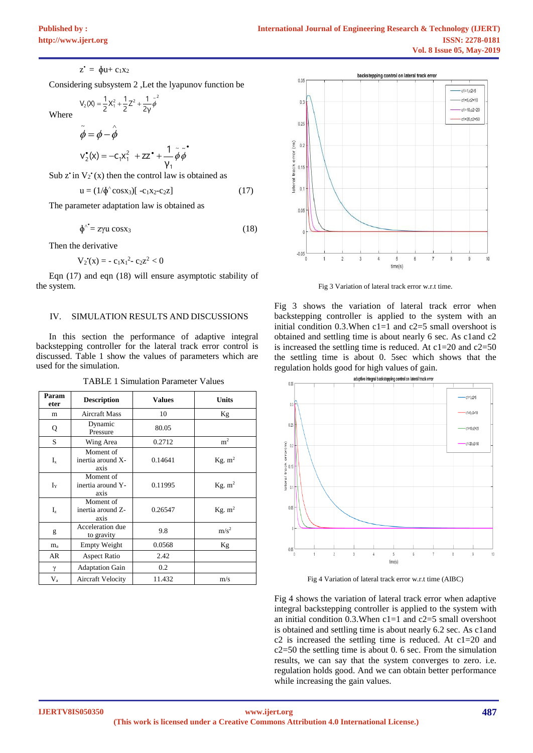$z^* = \phi u + c_1 x_2$ 

Considering subsystem 2 ,Let the lyapunov function be

$$
V_2(X) = \frac{1}{2}X_1^2 + \frac{1}{2}Z^2 + \frac{1}{2\gamma}\tilde{\phi}^2
$$

Where

$$
\tilde{\phi} = \phi - \hat{\phi}
$$
  

$$
v_2^*(x) = -c_1 x_1^2 + zz^2 + \frac{1}{\gamma_1} \tilde{\phi} \tilde{\phi}
$$

Sub z' in  $V_2$ '(x) then the control law is obtained as

$$
u = (1/\phi^{\wedge} \cos x_3)[-c_1x_2-c_2z] \tag{17}
$$

•

The parameter adaptation law is obtained as

$$
\phi^{\hat{ }}^{\hat{ }}=z\gamma u\cos x_3\tag{18}
$$

Then the derivative

$$
V_2(x) = -c_1x_1^2 - c_2z^2 < 0
$$

Eqn (17) and eqn (18) will ensure asymptotic stability of the system.

#### IV. SIMULATION RESULTS AND DISCUSSIONS

In this section the performance of adaptive integral backstepping controller for the lateral track error control is discussed. Table 1 show the values of parameters which are used for the simulation.

| Param<br>eter  | <b>Description</b>                     | <b>Values</b> | <b>Units</b>       |
|----------------|----------------------------------------|---------------|--------------------|
| m              | <b>Aircraft Mass</b>                   | 10            | Kg                 |
| Q              | Dynamic<br>Pressure                    | 80.05         |                    |
| S              | Wing Area                              | 0.2712        | m <sup>2</sup>     |
| $I_{x}$        | Moment of<br>inertia around X-<br>axis | 0.14641       | Kg. m <sup>2</sup> |
| $I_Y$          | Moment of<br>inertia around Y-<br>axis | 0.11995       | Kg. m <sup>2</sup> |
| $I_z$          | Moment of<br>inertia around Z-<br>axis | 0.26547       | Kg. m <sup>2</sup> |
| g              | Acceleration due<br>to gravity         | 9.8           | m/s <sup>2</sup>   |
| m <sub>a</sub> | Empty Weight                           | 0.0568        | Kg                 |
| AR             | <b>Aspect Ratio</b>                    | 2.42          |                    |
| γ              | <b>Adaptation Gain</b>                 | 0.2           |                    |
| $V_{\rm a}$    | Aircraft Velocity                      | 11.432        | m/s                |

TABLE 1 Simulation Parameter Values



Fig 3 Variation of lateral track error w.r.t time.

Fig 3 shows the variation of lateral track error when backstepping controller is applied to the system with an initial condition  $0.3$ . When c1=1 and c2=5 small overshoot is obtained and settling time is about nearly 6 sec. As c1and c2 is increased the settling time is reduced. At  $c1=20$  and  $c2=50$ the settling time is about 0. 5sec which shows that the regulation holds good for high values of gain.



Fig 4 Variation of lateral track error w.r.t time (AIBC)

Fig 4 shows the variation of lateral track error when adaptive integral backstepping controller is applied to the system with an initial condition  $0.3$ . When c1=1 and c2=5 small overshoot is obtained and settling time is about nearly 6.2 sec. As c1and c2 is increased the settling time is reduced. At c1=20 and c2=50 the settling time is about 0. 6 sec. From the simulation results, we can say that the system converges to zero. i.e. regulation holds good. And we can obtain better performance while increasing the gain values.